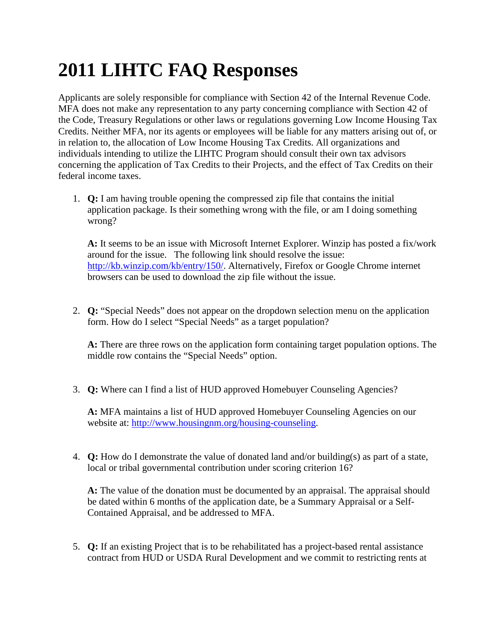## **2011 LIHTC FAQ Responses**

Applicants are solely responsible for compliance with Section 42 of the Internal Revenue Code. MFA does not make any representation to any party concerning compliance with Section 42 of the Code, Treasury Regulations or other laws or regulations governing Low Income Housing Tax Credits. Neither MFA, nor its agents or employees will be liable for any matters arising out of, or in relation to, the allocation of Low Income Housing Tax Credits. All organizations and individuals intending to utilize the LIHTC Program should consult their own tax advisors concerning the application of Tax Credits to their Projects, and the effect of Tax Credits on their federal income taxes.

1. **Q:** I am having trouble opening the compressed zip file that contains the initial application package. Is their something wrong with the file, or am I doing something wrong?

**A:** It seems to be an issue with Microsoft Internet Explorer. Winzip has posted a fix/work around for the issue. The following link should resolve the issue: [http://kb.winzip.com/kb/entry/150/.](http://kb.winzip.com/kb/entry/150/) Alternatively, Firefox or Google Chrome internet browsers can be used to download the zip file without the issue.

2. **Q:** "Special Needs" does not appear on the dropdown selection menu on the application form. How do I select "Special Needs" as a target population?

**A:** There are three rows on the application form containing target population options. The middle row contains the "Special Needs" option.

3. **Q:** Where can I find a list of HUD approved Homebuyer Counseling Agencies?

**A:** MFA maintains a list of HUD approved Homebuyer Counseling Agencies on our website at: [http://www.housingnm.org/housing-counseling.](http://www.housingnm.org/housing-counseling)

4. **Q:** How do I demonstrate the value of donated land and/or building(s) as part of a state, local or tribal governmental contribution under scoring criterion 16?

**A:** The value of the donation must be documented by an appraisal. The appraisal should be dated within 6 months of the application date, be a Summary Appraisal or a Self-Contained Appraisal, and be addressed to MFA.

5. **Q:** If an existing Project that is to be rehabilitated has a project-based rental assistance contract from HUD or USDA Rural Development and we commit to restricting rents at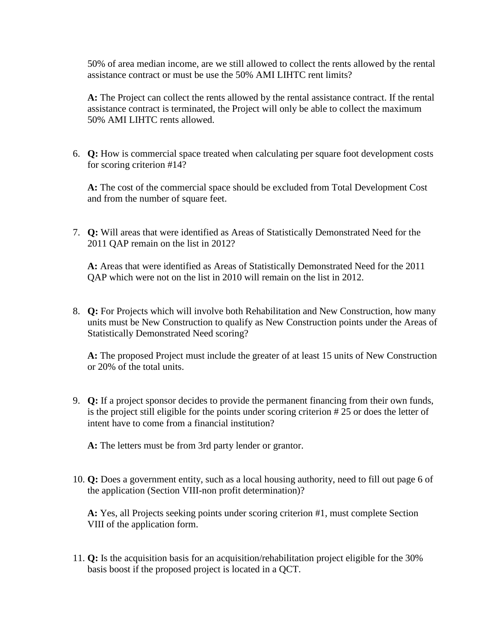50% of area median income, are we still allowed to collect the rents allowed by the rental assistance contract or must be use the 50% AMI LIHTC rent limits?

**A:** The Project can collect the rents allowed by the rental assistance contract. If the rental assistance contract is terminated, the Project will only be able to collect the maximum 50% AMI LIHTC rents allowed.

6. **Q:** How is commercial space treated when calculating per square foot development costs for scoring criterion #14?

**A:** The cost of the commercial space should be excluded from Total Development Cost and from the number of square feet.

7. **Q:** Will areas that were identified as Areas of Statistically Demonstrated Need for the 2011 QAP remain on the list in 2012?

**A:** Areas that were identified as Areas of Statistically Demonstrated Need for the 2011 QAP which were not on the list in 2010 will remain on the list in 2012.

8. **Q:** For Projects which will involve both Rehabilitation and New Construction, how many units must be New Construction to qualify as New Construction points under the Areas of Statistically Demonstrated Need scoring?

**A:** The proposed Project must include the greater of at least 15 units of New Construction or 20% of the total units.

- 9. **Q:** If a project sponsor decides to provide the permanent financing from their own funds, is the project still eligible for the points under scoring criterion # 25 or does the letter of intent have to come from a financial institution?
	- **A:** The letters must be from 3rd party lender or grantor.
- 10. **Q:** Does a government entity, such as a local housing authority, need to fill out page 6 of the application (Section VIII-non profit determination)?

**A:** Yes, all Projects seeking points under scoring criterion #1, must complete Section VIII of the application form.

11. **Q:** Is the acquisition basis for an acquisition/rehabilitation project eligible for the 30% basis boost if the proposed project is located in a QCT.